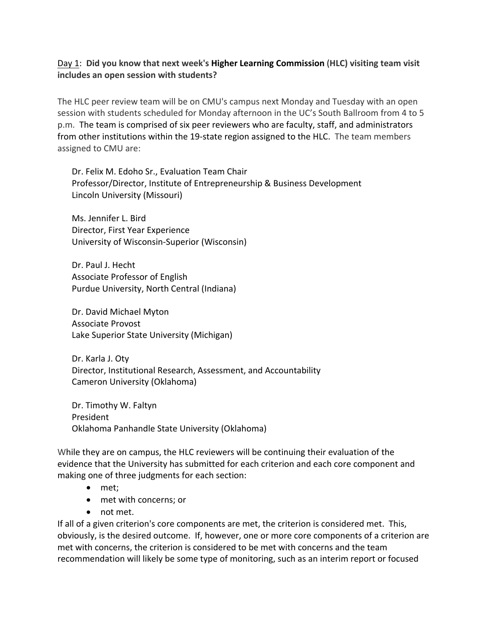## Day 1: **Did you know that next week's Higher Learning Commission** (**HLC) visiting team visit includes an open session with students?**

The HLC peer review team will be on CMU's campus next Monday and Tuesday with an open session with students scheduled for Monday afternoon in the UC's South Ballroom from 4 to 5 p.m. The team is comprised of six peer reviewers who are faculty, staff, and administrators from other institutions within the 19-state region assigned to the HLC. The team members assigned to CMU are:

Dr. Felix M. Edoho Sr., Evaluation Team Chair Professor/Director, Institute of Entrepreneurship & Business Development Lincoln University (Missouri)

Ms. Jennifer L. Bird Director, First Year Experience University of Wisconsin‐Superior (Wisconsin)

Dr. Paul J. Hecht Associate Professor of English Purdue University, North Central (Indiana)

Dr. David Michael Myton Associate Provost Lake Superior State University (Michigan)

Dr. Karla J. Oty Director, Institutional Research, Assessment, and Accountability Cameron University (Oklahoma)

Dr. Timothy W. Faltyn President Oklahoma Panhandle State University (Oklahoma)

While they are on campus, the HLC reviewers will be continuing their evaluation of the evidence that the University has submitted for each criterion and each core component and making one of three judgments for each section:

- met;
- met with concerns; or
- not met.

If all of a given criterion's core components are met, the criterion is considered met. This, obviously, is the desired outcome. If, however, one or more core components of a criterion are met with concerns, the criterion is considered to be met with concerns and the team recommendation will likely be some type of monitoring, such as an interim report or focused